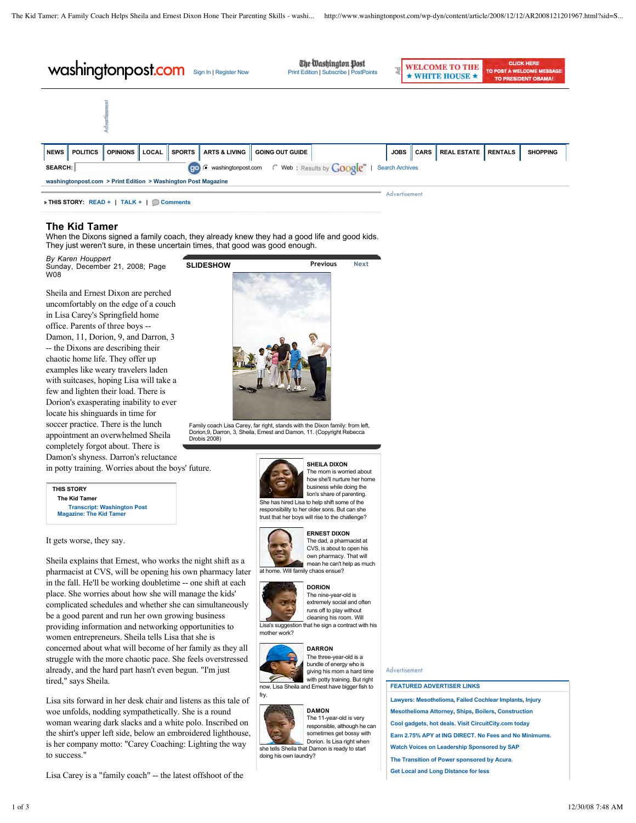| washingtonpost.com Sign In   Register Now |                                                                                                           |                                          |       |               |                          | <b>The</b><br>Print Edition   Subscribe   PostPoints |  |               | <b>WELCOME TO THE</b><br>WHITE HOUSE <b>*</b> | <b>CLICK HERE</b><br>TO POST A WELCOME MESSAGE<br><b>TO PRESIDENT OBAMA!</b> |                |                 |
|-------------------------------------------|-----------------------------------------------------------------------------------------------------------|------------------------------------------|-------|---------------|--------------------------|------------------------------------------------------|--|---------------|-----------------------------------------------|------------------------------------------------------------------------------|----------------|-----------------|
|                                           |                                                                                                           |                                          |       |               |                          |                                                      |  |               |                                               |                                                                              |                |                 |
| <b>NEWS</b>                               | <b>POLITICS</b>                                                                                           | <b>OPINIONS</b>                          | LOCAL | <b>SPORTS</b> | <b>ARTS &amp; LIVING</b> | <b>GOING OUT GUIDE</b>                               |  | <b>JOBS</b>   | <b>CARS</b>                                   | <b>REAL ESTATE</b>                                                           | <b>RENTALS</b> | <b>SHOPPING</b> |
|                                           | Web: Results by Google"<br>go <sup>c</sup> washingtonpost.com<br><b>Search Archives</b><br><b>SEARCH:</b> |                                          |       |               |                          |                                                      |  |               |                                               |                                                                              |                |                 |
|                                           | washingtonpost.com > Print Edition > Washington Post Magazine                                             |                                          |       |               |                          |                                                      |  |               |                                               |                                                                              |                |                 |
|                                           |                                                                                                           | » THIS STORY: READ +   TALK +   Comments |       |               |                          |                                                      |  | Advertisement |                                               |                                                                              |                |                 |

### **The Kid Tamer**

**THIS STORY The Kid Tamer**

It gets worse, they say.

tired," says Sheila.

to success."

When the Dixons signed a family coach, they already knew they had a good life and good kids. They just weren't sure, in these uncertain times, that good was good enough.

*By Karen Houppert* Sunday, December 21, 2008; Page W08

Sheila and Ernest Dixon are perched uncomfortably on the edge of a couch in Lisa Carey's Springfield home office. Parents of three boys -- Damon, 11, Dorion, 9, and Darron, 3 -- the Dixons are describing their chaotic home life. They offer up examples like weary travelers laden with suitcases, hoping Lisa will take a few and lighten their load. There is Dorion's exasperating inability to ever locate his shinguards in time for soccer practice. There is the lunch appointment an overwhelmed Sheila completely forgot about. There is Damon's shyness. Darron's reluctance in potty training. Worries about the boys' future.

**Transcript: Washington Post Magazine: The Kid Tame** 

Sheila explains that Ernest, who works the night shift as a pharmacist at CVS, will be opening his own pharmacy later in the fall. He'll be working doubletime -- one shift at each place. She worries about how she will manage the kids' complicated schedules and whether she can simultaneously be a good parent and run her own growing business providing information and networking opportunities to women entrepreneurs. Sheila tells Lisa that she is concerned about what will become of her family as they all struggle with the more chaotic pace. She feels overstressed already, and the hard part hasn't even begun. "I'm just

woe unfolds, nodding sympathetically. She is a round

the shirt's upper left side, below an embroidered lighthouse, is her company motto: "Carey Coaching: Lighting the way

Lisa Carey is a "family coach" -- the latest offshoot of the



Family coach Lisa Carey, far right, stands with the Dixon family: from left, Dorion,9, Darron, 3, Sheila, Ernest and Damon, 11. (Copyright Rebecca Drobis 2008)



### **SHEILA DIXON**

The mom is worried about how she'll nurture her home business while doing the lion's share of parenting. She has hired Lisa to help shift some of the responsibility to her older sons. But can she



**ERNEST DIXON** The dad, a pharmacist at CVS, is about to open his own pharmacy. That will mean he can't help as much

at home. Will family chaos ensue?

trust that her boys will rise to the challenge?



### **DORION**





**DARRON** The three-year-old is a bundle of energy who is giving his mom a hard time with potty training. But right now, Lisa Sheila and Ernest have bigger fish to



**DAMON** The 11-year-old is very

responsible, although he can sometimes get bossy with Dorion. Is Lisa right when she tells Sheila that Damon is ready to start doing his own laundry?

### Advertisement

### **FEATURED ADVERTISER LINKS**

- **Lawyers: Mesothelioma, Failed Cochlear Implants, Injury Mesothelioma Attorney, Ships, Boilers, Construction Cool gadgets, hot deals. Visit CircuitCity.com today Earn 2.75% APY at ING DIRECT. No Fees and No Minimums. Watch Voices on Leadership Sponsored by SAP The Transition of Power sponsored by Acura.**
- **Get Local and Long Distance for less**
- fry. Lisa sits forward in her desk chair and listens as this tale of woman wearing dark slacks and a white polo. Inscribed on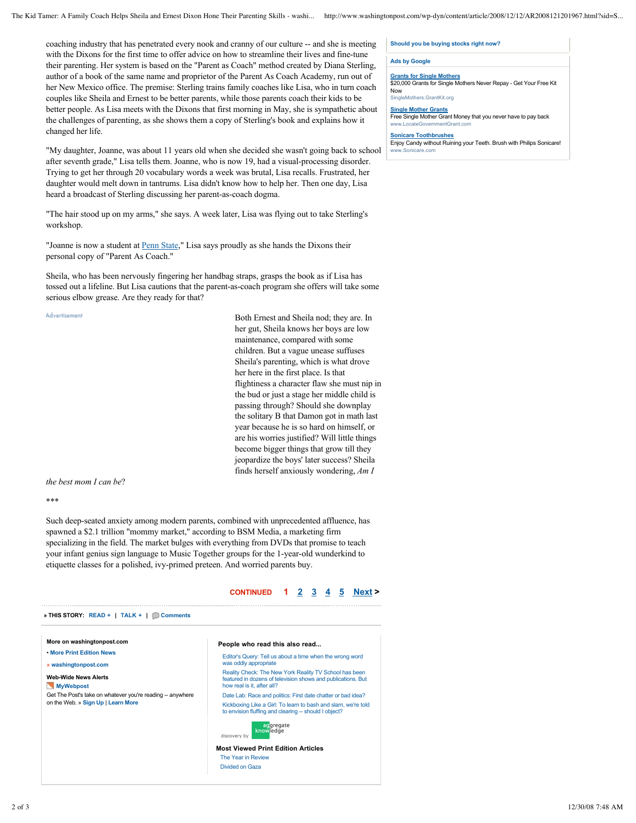coaching industry that has penetrated every nook and cranny of our culture -- and she is meeting with the Dixons for the first time to offer advice on how to streamline their lives and fine-tune their parenting. Her system is based on the "Parent as Coach" method created by Diana Sterling, author of a book of the same name and proprietor of the Parent As Coach Academy, run out of her New Mexico office. The premise: Sterling trains family coaches like Lisa, who in turn coach couples like Sheila and Ernest to be better parents, while those parents coach their kids to be better people. As Lisa meets with the Dixons that first morning in May, she is sympathetic about the challenges of parenting, as she shows them a copy of Sterling's book and explains how it changed her life.

"My daughter, Joanne, was about 11 years old when she decided she wasn't going back to school after seventh grade," Lisa tells them. Joanne, who is now 19, had a visual-processing disorder. Trying to get her through 20 vocabulary words a week was brutal, Lisa recalls. Frustrated, her daughter would melt down in tantrums. Lisa didn't know how to help her. Then one day, Lisa heard a broadcast of Sterling discussing her parent-as-coach dogma.

"The hair stood up on my arms," she says. A week later, Lisa was flying out to take Sterling's workshop.

"Joanne is now a student at Penn State," Lisa says proudly as she hands the Dixons their personal copy of "Parent As Coach."

Sheila, who has been nervously fingering her handbag straps, grasps the book as if Lisa has tossed out a lifeline. But Lisa cautions that the parent-as-coach program she offers will take some serious elbow grease. Are they ready for that?

Advertisement

Both Ernest and Sheila nod; they are. In her gut, Sheila knows her boys are low maintenance, compared with some children. But a vague unease suffuses Sheila's parenting, which is what drove her here in the first place. Is that flightiness a character flaw she must nip in the bud or just a stage her middle child is passing through? Should she downplay the solitary B that Damon got in math last year because he is so hard on himself, or are his worries justified? Will little things become bigger things that grow till they jeopardize the boys' later success? Sheila finds herself anxiously wondering, *Am I* 

*the best mom I can be*?

\*\*\*

Such deep-seated anxiety among modern parents, combined with unprecedented affluence, has spawned a \$2.1 trillion "mommy market," according to BSM Media, a marketing firm specializing in the field. The market bulges with everything from DVDs that promise to teach your infant genius sign language to Music Together groups for the 1-year-old wunderkind to etiquette classes for a polished, ivy-primed preteen. And worried parents buy.



### **Should you be buying stocks right now?**

#### **Ads by Google**

**Grants for Single Mothers** \$20,000 Grants for Single Mothers Never Repay - Get Your Free Kit Now SingleMothers.GrantKit.org

**Single Mother Grants**

Free Single Mother Grant Money that you never have to pay back www.LocateGovernmentGrant.c

**Sonicare Toothbrushes**

Enjoy Candy without Ruining your Teeth. Brush with Philips Sonicare! www.Sonicare.com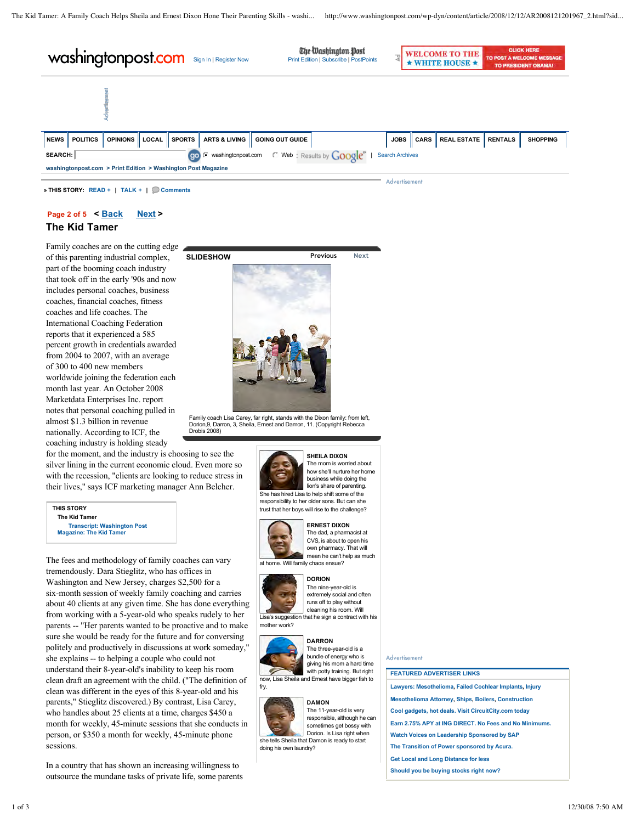The Washington Post **CLICK HERE** Washingtonpost.com Sign In | Register Now Elite Washington Dest **WELCOME TO THE** TO POST A WELCOME M \* WHITE HOUSE \* **TO PRESIDENT OBAMA NEWS POLITICS OPINIONS LOCAL SPORTS ARTS & LIVING GOING OUT GUIDE JOBS CARS REAL ESTATE RENTALS SHOPPINGSEARCH:** washingtonpost.com Web | Search Archives **washingtonpost.com > Print Edition > Washington Post Magazine** Advertisement

**Page 2 of 5 < Back Next >**

**» THIS STORY: READ + | TALK + | Comments**

### **The Kid Tamer**

Family coaches are on the cutting edge of this parenting industrial complex, part of the booming coach industry that took off in the early '90s and now includes personal coaches, business coaches, financial coaches, fitness coaches and life coaches. The International Coaching Federation reports that it experienced a 585 percent growth in credentials awarded from 2004 to 2007, with an average of 300 to 400 new members worldwide joining the federation each month last year. An October 2008 Marketdata Enterprises Inc. report notes that personal coaching pulled in almost \$1.3 billion in revenue nationally. According to ICF, the coaching industry is holding steady



Family coach Lisa Carey, far right, stands with the Dixon family: from left, Dorion,9, Darron, 3, Sheila, Ernest and Damon, 11. (Copyright Rebecca Drobis 2008)

for the moment, and the industry is choosing to see the silver lining in the current economic cloud. Even more so with the recession, "clients are looking to reduce stress in their lives," says ICF marketing manager Ann Belcher.

**THIS STORY The Kid Tamer Transcript: Washington Post Magazine: The Kid Tamer**

The fees and methodology of family coaches can vary tremendously. Dara Stieglitz, who has offices in Washington and New Jersey, charges \$2,500 for a six-month session of weekly family coaching and carries about 40 clients at any given time. She has done everything from working with a 5-year-old who speaks rudely to her parents -- "Her parents wanted to be proactive and to make sure she would be ready for the future and for conversing politely and productively in discussions at work someday," she explains -- to helping a couple who could not understand their 8-year-old's inability to keep his room clean draft an agreement with the child. ("The definition of clean was different in the eyes of this 8-year-old and his parents," Stieglitz discovered.) By contrast, Lisa Carey, who handles about 25 clients at a time, charges \$450 a month for weekly, 45-minute sessions that she conducts in person, or \$350 a month for weekly, 45-minute phone sessions.

In a country that has shown an increasing willingness to outsource the mundane tasks of private life, some parents



#### **SHEILA DIXON** The mom is worried about how she'll nurture her home business while doing the

lion's share of parenting. She has hired Lisa to help shift some of the responsibility to her older sons. But can she trust that her boys will rise to the challenge?



#### The dad, a pharmacist at CVS, is about to open his

own pharmacy. That will mean he can't help as much

## at home. Will family chaos ensue?



#### **DORION** The nine-year-old is extremely social and often

runs off to play without cleaning his room. Will Lisa's suggestion that he sign a contract with his mother work?



**DARRON** The three-year-old is a bundle of energy who is giving his mom a hard time with potty training. But right now, Lisa Sheila and Ernest have bigger fish to



fry.

**DAMON** The 11-year-old is very responsible, although he can sometimes get bossy with Dorion. Is Lisa right when she tells Sheila that Damon is ready to start doing his own laundry?

### Advertisement

### **FEATURED ADVERTISER LINKS**

**Lawyers: Mesothelioma, Failed Cochlear Implants, Injury Mesothelioma Attorney, Ships, Boilers, Construction Cool gadgets, hot deals. Visit CircuitCity.com today Earn 2.75% APY at ING DIRECT. No Fees and No Minimums. Watch Voices on Leadership Sponsored by SAP The Transition of Power sponsored by Acura. Get Local and Long Distance for less**

**Should you be buying stocks right now?**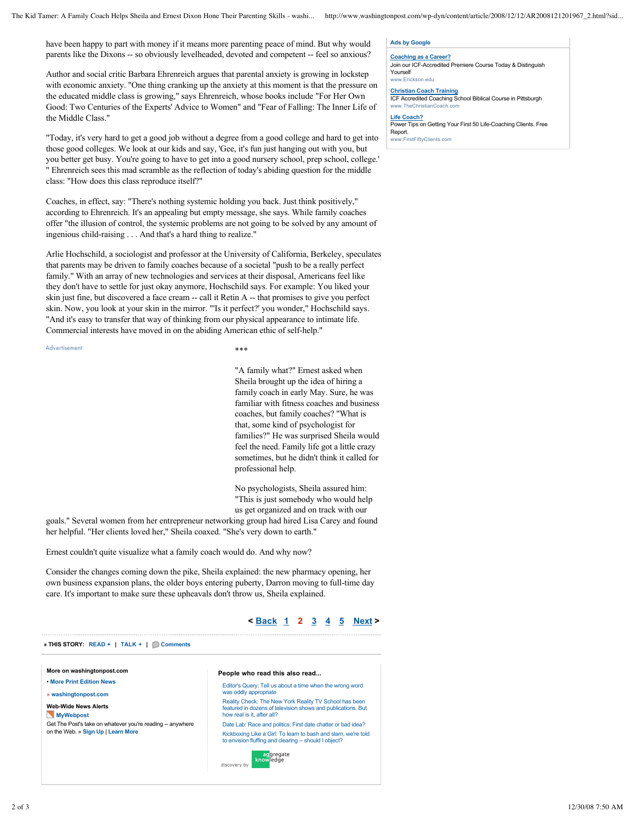have been happy to part with money if it means more parenting peace of mind. But why would parents like the Dixons -- so obviously levelheaded, devoted and competent -- feel so anxious?

Author and social critic Barbara Ehrenreich argues that parental anxiety is growing in lockstep with economic anxiety. "One thing cranking up the anxiety at this moment is that the pressure on the educated middle class is growing," says Ehrenreich, whose books include "For Her Own Good: Two Centuries of the Experts' Advice to Women" and "Fear of Falling: The Inner Life of the Middle Class."

"Today, it's very hard to get a good job without a degree from a good college and hard to get into those good colleges. We look at our kids and say, 'Gee, it's fun just hanging out with you, but you better get busy. You're going to have to get into a good nursery school, prep school, college.' " Ehrenreich sees this mad scramble as the reflection of today's abiding question for the middle class: "How does this class reproduce itself?"

Coaches, in effect, say: "There's nothing systemic holding you back. Just think positively," according to Ehrenreich. It's an appealing but empty message, she says. While family coaches offer "the illusion of control, the systemic problems are not going to be solved by any amount of ingenious child-raising . . . And that's a hard thing to realize."

Arlie Hochschild, a sociologist and professor at the University of California, Berkeley, speculates that parents may be driven to family coaches because of a societal "push to be a really perfect family." With an array of new technologies and services at their disposal, Americans feel like they don't have to settle for just okay anymore, Hochschild says. For example: You liked your skin just fine, but discovered a face cream -- call it Retin A -- that promises to give you perfect skin. Now, you look at your skin in the mirror. "'Is it perfect?' you wonder," Hochschild says. "And it's easy to transfer that way of thinking from our physical appearance to intimate life. Commercial interests have moved in on the abiding American ethic of self-help."

Advertisement

\*\*\*

"A family what?" Ernest asked when Sheila brought up the idea of hiring a family coach in early May. Sure, he was familiar with fitness coaches and business coaches, but family coaches? "What is that, some kind of psychologist for families?" He was surprised Sheila would feel the need. Family life got a little crazy sometimes, but he didn't think it called for professional help.

No psychologists, Sheila assured him: "This is just somebody who would help us get organized and on track with our

goals." Several women from her entrepreneur networking group had hired Lisa Carey and found her helpful. "Her clients loved her," Sheila coaxed. "She's very down to earth."

Ernest couldn't quite visualize what a family coach would do. And why now?

Consider the changes coming down the pike, Sheila explained: the new pharmacy opening, her own business expansion plans, the older boys entering puberty, Darron moving to full-time day care. It's important to make sure these upheavals don't throw us, Sheila explained.



#### **Ads by Google**

**Coaching as a Career?** Join our ICF-Accredited Premiere Course Today & Distinguish Yourself www.Erickson.edu

**Christian Coach Training** ICF Accredited Coaching School Biblical Course in Pittsburgh www.TheChristianCoach.c **Life Coach?** Power Tips on Getting Your First 50 Life-Coaching Clients. Free Report. w.FirstFiftyClients.com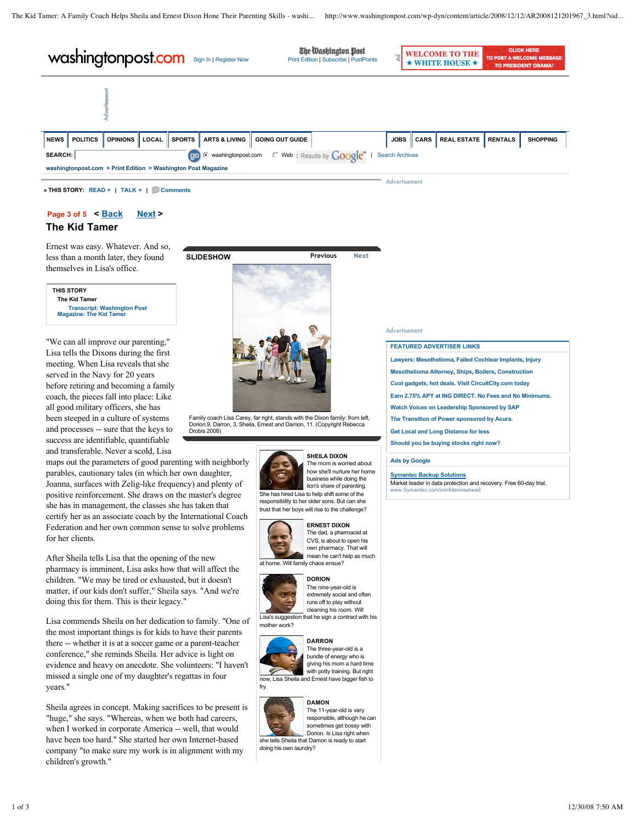| washingtonpost.com<br>Sign In   Register Now                                                                                                                                                       |                 |                 |       |               |                          | The Washington Post<br><b>Print Edition   Subscribe   PostPoints</b> | $\overline{\phantom{a}}$ |             | <b>WELCOME TO THE</b><br><b>HITE HOUSE <math>\star</math></b> | <b>CLICK HERE</b><br><b>WELCOME MESSAGE</b><br>TO PRESIDENT OBAMA! |                |                 |
|----------------------------------------------------------------------------------------------------------------------------------------------------------------------------------------------------|-----------------|-----------------|-------|---------------|--------------------------|----------------------------------------------------------------------|--------------------------|-------------|---------------------------------------------------------------|--------------------------------------------------------------------|----------------|-----------------|
|                                                                                                                                                                                                    |                 |                 |       |               |                          |                                                                      |                          |             |                                                               |                                                                    |                |                 |
| <b>NEWS</b>                                                                                                                                                                                        | <b>POLITICS</b> | <b>OPINIONS</b> | LOCAL | <b>SPORTS</b> | <b>ARTS &amp; LIVING</b> | <b>GOING OUT GUIDE</b>                                               |                          | <b>JOBS</b> | <b>CARS</b>                                                   | <b>REAL ESTATE</b>                                                 | <b>RENTALS</b> | <b>SHOPPING</b> |
| $\degree$ Web: Results by $Google^{\mathsf{m}}$<br>go <sup>(</sup> washingtonpost.com<br><b>SEARCH:</b><br><b>Search Archives</b><br>washingtonpost.com > Print Edition > Washington Post Magazine |                 |                 |       |               |                          |                                                                      |                          |             |                                                               |                                                                    |                |                 |
| Advertisement                                                                                                                                                                                      |                 |                 |       |               |                          |                                                                      |                          |             |                                                               |                                                                    |                |                 |

**» THIS STORY: READ + | TALK + | Comments**

# **Page 3 of 5 < Back Next >**

### **The Kid Tamer**

Ernest was easy. Whatever. And so, less than a month later, they found themselves in Lisa's office.

**THIS STORY The Kid Tamer Transcript: Washington Post Magazine: The Kid Tame** 

"We can all improve our parenting," Lisa tells the Dixons during the first meeting. When Lisa reveals that she served in the Navy for 20 years before retiring and becoming a family coach, the pieces fall into place: Like all good military officers, she has been steeped in a culture of systems and processes -- sure that the keys to success are identifiable, quantifiable and transferable. Never a scold, Lisa

maps out the parameters of good parenting with neighborly parables, cautionary tales (in which her own daughter, Joanna, surfaces with Zelig-like frequency) and plenty of positive reinforcement. She draws on the master's degree she has in management, the classes she has taken that certify her as an associate coach by the International Coach Federation and her own common sense to solve problems for her clients.

After Sheila tells Lisa that the opening of the new pharmacy is imminent, Lisa asks how that will affect the children. "We may be tired or exhausted, but it doesn't matter, if our kids don't suffer," Sheila says. "And we're doing this for them. This is their legacy."

Lisa commends Sheila on her dedication to family. "One of the most important things is for kids to have their parents there -- whether it is at a soccer game or a parent-teacher conference," she reminds Sheila. Her advice is light on evidence and heavy on anecdote. She volunteers: "I haven't missed a single one of my daughter's regattas in four years."

Sheila agrees in concept. Making sacrifices to be present is "huge," she says. "Whereas, when we both had careers, when I worked in corporate America -- well, that would have been too hard." She started her own Internet-based company "to make sure my work is in alignment with my children's growth."



Family coach Lisa Carey, far right, stands with the Dixon family: from left, Dorion,9, Darron, 3, Sheila, Ernest and Damon, 11. (Copyright Rebecca Drobis 2008)



**SHEILA DIXON** The mom is worried about how she'll nurture her home business while doing the lion's share of parenting. She has hired Lisa to help shift some of the

responsibility to her older sons. But can she trust that her boys will rise to the challenge?



**ERNEST DIXON** The dad, a pharmacist at CVS, is about to open his own pharmacy. That will mean he can't help as much

at home. Will family chaos ensue?



**DORION** The nine-year-old is extremely social and often runs off to play without cleaning his room. Will

Lisa's suggestion that he sign a contract with his mother work?



fry.

**DARRON** The three-year-old is a bundle of energy who is giving his mom a hard time with potty training. But right now, Lisa Sheila and Ernest have bigger fish to



doing his own laundry?

**DAMON** The 11-year-old is very responsible, although he can sometimes get bossy with Dorion. Is Lisa right when she tells Sheila that Damon is ready to start

Advertisement

### **FEATURED ADVERTISER LINKS**

**Lawyers: Mesothelioma, Failed Cochlear Implants, Injury**

- **Mesothelioma Attorney, Ships, Boilers, Construction**
- **Cool gadgets, hot deals. Visit CircuitCity.com today**
- **Earn 2.75% APY at ING DIRECT. No Fees and No Minimums.**
- **Watch Voices on Leadership Sponsored by SAP**
- **The Transition of Power sponsored by Acura. Get Local and Long Distance for less**
- **Should you be buying stocks right now?**

### **Ads by Google**

**Symantec Backup Solutions**

Market leader in data protection and recovery. Free 60-day trial.<br>www.Symantec.com/confidenceabead www.Symantec.com/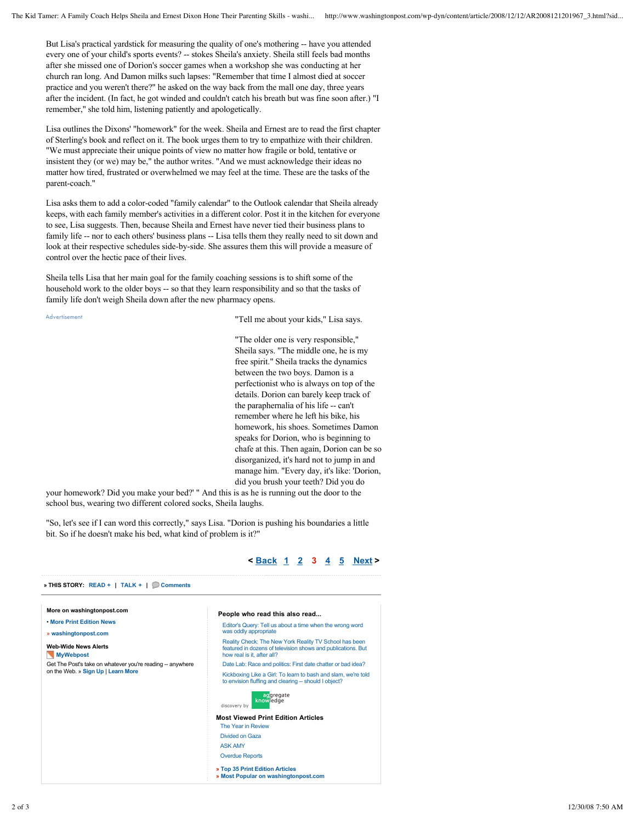But Lisa's practical yardstick for measuring the quality of one's mothering -- have you attended every one of your child's sports events? -- stokes Sheila's anxiety. Sheila still feels bad months after she missed one of Dorion's soccer games when a workshop she was conducting at her church ran long. And Damon milks such lapses: "Remember that time I almost died at soccer practice and you weren't there?" he asked on the way back from the mall one day, three years after the incident. (In fact, he got winded and couldn't catch his breath but was fine soon after.) "I remember," she told him, listening patiently and apologetically.

Lisa outlines the Dixons' "homework" for the week. Sheila and Ernest are to read the first chapter of Sterling's book and reflect on it. The book urges them to try to empathize with their children. "We must appreciate their unique points of view no matter how fragile or bold, tentative or insistent they (or we) may be," the author writes. "And we must acknowledge their ideas no matter how tired, frustrated or overwhelmed we may feel at the time. These are the tasks of the parent-coach."

Lisa asks them to add a color-coded "family calendar" to the Outlook calendar that Sheila already keeps, with each family member's activities in a different color. Post it in the kitchen for everyone to see, Lisa suggests. Then, because Sheila and Ernest have never tied their business plans to family life -- nor to each others' business plans -- Lisa tells them they really need to sit down and look at their respective schedules side-by-side. She assures them this will provide a measure of control over the hectic pace of their lives.

Sheila tells Lisa that her main goal for the family coaching sessions is to shift some of the household work to the older boys -- so that they learn responsibility and so that the tasks of family life don't weigh Sheila down after the new pharmacy opens.

Advertisement

"Tell me about your kids," Lisa says.

"The older one is very responsible," Sheila says. "The middle one, he is my free spirit." Sheila tracks the dynamics between the two boys. Damon is a perfectionist who is always on top of the details. Dorion can barely keep track of the paraphernalia of his life -- can't remember where he left his bike, his homework, his shoes. Sometimes Damon speaks for Dorion, who is beginning to chafe at this. Then again, Dorion can be so disorganized, it's hard not to jump in and manage him. "Every day, it's like: 'Dorion, did you brush your teeth? Did you do

your homework? Did you make your bed?' " And this is as he is running out the door to the school bus, wearing two different colored socks, Sheila laughs.

"So, let's see if I can word this correctly," says Lisa. "Dorion is pushing his boundaries a little bit. So if he doesn't make his bed, what kind of problem is it?"



### **< Back 1 2 3 4 5 Next >**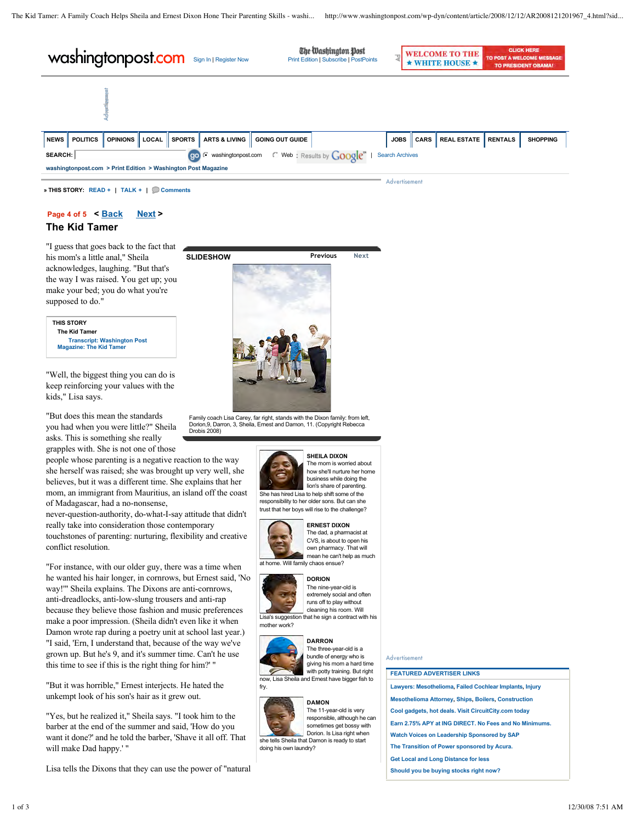| washingtonpost.com<br>Sign In   Register Now              |                                                                                                                           |                        |       |               |                          | The Washington Post<br>3<br>Print Edition   Subscribe   PostPoints |  |             |             | <b>WELCOME TO THE</b><br>$\star$ WHITE HOUSE $\star$ | <b>CLICK HERE</b><br>TO POST A WELCOME MESSAGE<br><b>TO PRESIDENT OBAMA!</b> |                 |  |
|-----------------------------------------------------------|---------------------------------------------------------------------------------------------------------------------------|------------------------|-------|---------------|--------------------------|--------------------------------------------------------------------|--|-------------|-------------|------------------------------------------------------|------------------------------------------------------------------------------|-----------------|--|
|                                                           |                                                                                                                           |                        |       |               |                          |                                                                    |  |             |             |                                                      |                                                                              |                 |  |
| <b>NEWS</b>                                               | <b>POLITICS</b>                                                                                                           | OPINIONS <sup>II</sup> | LOCAL | <b>SPORTS</b> | <b>ARTS &amp; LIVING</b> | <b>GOING OUT GUIDE</b>                                             |  | <b>JOBS</b> | <b>CARS</b> | <b>REAL ESTATE</b>                                   | <b>RENTALS</b>                                                               | <b>SHOPPING</b> |  |
|                                                           | $\in$ Web: Results by $Google^m$<br><b>go</b> <sup><i>c</i></sup> washingtonpost.com<br><b>Search Archives</b><br>SEARCH: |                        |       |               |                          |                                                                    |  |             |             |                                                      |                                                                              |                 |  |
|                                                           | washingtonpost.com > Print Edition > Washington Post Magazine                                                             |                        |       |               |                          |                                                                    |  |             |             |                                                      |                                                                              |                 |  |
| Advertisement<br>» THIS STORY: READ +   TALK +   Comments |                                                                                                                           |                        |       |               |                          |                                                                    |  |             |             |                                                      |                                                                              |                 |  |

**Page 4 of 5 < Back Next >**

### **The Kid Tamer**

"I guess that goes back to the fact that his mom's a little anal," Sheila acknowledges, laughing. "But that's the way I was raised. You get up; you make your bed; you do what you're supposed to do."



"Well, the biggest thing you can do is keep reinforcing your values with the kids," Lisa says.

"But does this mean the standards you had when you were little?" Sheila asks. This is something she really grapples with. She is not one of those

people whose parenting is a negative reaction to the way she herself was raised; she was brought up very well, she believes, but it was a different time. She explains that her mom, an immigrant from Mauritius, an island off the coast of Madagascar, had a no-nonsense,

never-question-authority, do-what-I-say attitude that didn't really take into consideration those contemporary touchstones of parenting: nurturing, flexibility and creative conflict resolution.

"For instance, with our older guy, there was a time when he wanted his hair longer, in cornrows, but Ernest said, 'No way!'" Sheila explains. The Dixons are anti-cornrows, anti-dreadlocks, anti-low-slung trousers and anti-rap because they believe those fashion and music preferences make a poor impression. (Sheila didn't even like it when Damon wrote rap during a poetry unit at school last year.) "I said, 'Ern, I understand that, because of the way we've grown up. But he's 9, and it's summer time. Can't he use this time to see if this is the right thing for him?' "

"But it was horrible," Ernest interjects. He hated the unkempt look of his son's hair as it grew out.

"Yes, but he realized it," Sheila says. "I took him to the barber at the end of the summer and said, 'How do you want it done?' and he told the barber, 'Shave it all off. That will make Dad happy.' "

Lisa tells the Dixons that they can use the power of "natural



Family coach Lisa Carey, far right, stands with the Dixon family: from left, Dorion,9, Darron, 3, Sheila, Ernest and Damon, 11. (Copyright Rebecca Drobis 2008)



#### **SHEILA DIXON** The mom is worried about how she'll nurture her home business while doing the lion's share of parenting.

She has hired Lisa to help shift some of the responsibility to her older sons. But can she trust that her boys will rise to the challenge?



### The dad, a pharmacist at

CVS, is about to open his own pharmacy. That will

mean he can't help as much at home. Will family chaos ensue?



**DORION** The nine-year-old is extremely social and often runs off to play without

cleaning his room. Will Lisa's suggestion that he sign a contract with his mother work?



fry.

**DARRON** The three-year-old is a bundle of energy who is giving his mom a hard time with potty training. But right now, Lisa Sheila and Ernest have bigger fish to



**DAMON** The 11-year-old is very responsible, although he can sometimes get bossy with Dorion. Is Lisa right when she tells Sheila that Damon is ready to start doing his own laundry?

### Advertisement

### **FEATURED ADVERTISER LINKS**

**Lawyers: Mesothelioma, Failed Cochlear Implants, Injury Mesothelioma Attorney, Ships, Boilers, Construction Cool gadgets, hot deals. Visit CircuitCity.com today Earn 2.75% APY at ING DIRECT. No Fees and No Minimums. Watch Voices on Leadership Sponsored by SAP The Transition of Power sponsored by Acura. Get Local and Long Distance for less**

**Should you be buying stocks right now?**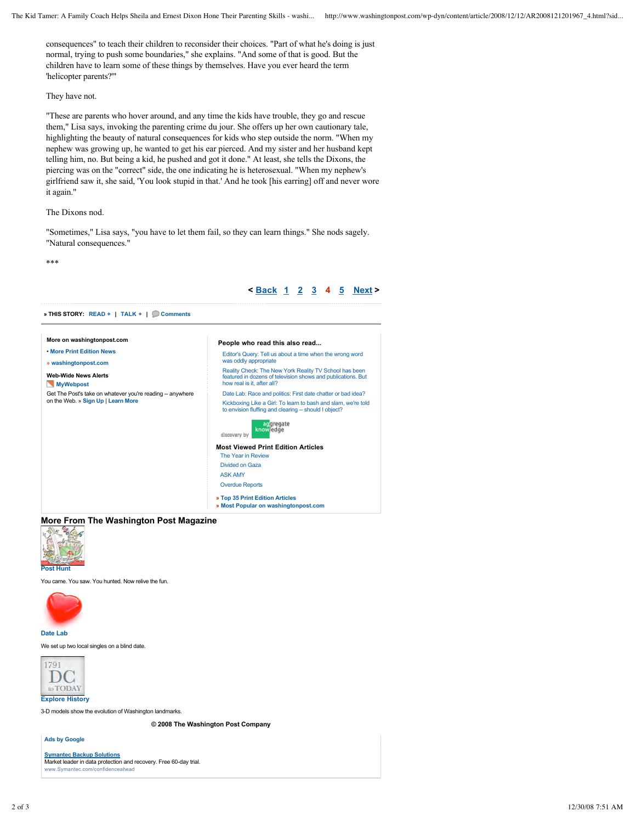**< Back 1 2 3 4 5 Next >**

consequences" to teach their children to reconsider their choices. "Part of what he's doing is just normal, trying to push some boundaries," she explains. "And some of that is good. But the children have to learn some of these things by themselves. Have you ever heard the term 'helicopter parents?'"

### They have not.

"These are parents who hover around, and any time the kids have trouble, they go and rescue them," Lisa says, invoking the parenting crime du jour. She offers up her own cautionary tale, highlighting the beauty of natural consequences for kids who step outside the norm. "When my nephew was growing up, he wanted to get his ear pierced. And my sister and her husband kept telling him, no. But being a kid, he pushed and got it done." At least, she tells the Dixons, the piercing was on the "correct" side, the one indicating he is heterosexual. "When my nephew's girlfriend saw it, she said, 'You look stupid in that.' And he took [his earring] off and never wore it again."

### The Dixons nod.

"Sometimes," Lisa says, "you have to let them fail, so they can learn things." She nods sagely. "Natural consequences."

\*\*\*

| More on washingtonpost.com                                 | People who read this also read                                                                                         |  |  |  |  |  |  |
|------------------------------------------------------------|------------------------------------------------------------------------------------------------------------------------|--|--|--|--|--|--|
| • More Print Edition News                                  | Editor's Query: Tell us about a time when the wrong word                                                               |  |  |  |  |  |  |
| » washingtonpost.com                                       | was oddly appropriate                                                                                                  |  |  |  |  |  |  |
| <b>Web-Wide News Alerts</b>                                | Reality Check: The New York Reality TV School has been<br>featured in dozens of television shows and publications. But |  |  |  |  |  |  |
| <b>MyWebpost</b>                                           | how real is it, after all?                                                                                             |  |  |  |  |  |  |
| Get The Post's take on whatever you're reading -- anywhere | Date Lab: Race and politics: First date chatter or bad idea?                                                           |  |  |  |  |  |  |
| on the Web. » Sign Up   Learn More                         | Kickboxing Like a Girl: To learn to bash and slam, we're told<br>to envision fluffing and clearing - should I object?  |  |  |  |  |  |  |
|                                                            | acqregate<br>knowledge<br>discovery by                                                                                 |  |  |  |  |  |  |
|                                                            | <b>Most Viewed Print Edition Articles</b>                                                                              |  |  |  |  |  |  |
|                                                            | The Year in Review                                                                                                     |  |  |  |  |  |  |
|                                                            | Divided on Gaza                                                                                                        |  |  |  |  |  |  |
|                                                            | <b>ASK AMY</b>                                                                                                         |  |  |  |  |  |  |
|                                                            | <b>Overdue Reports</b>                                                                                                 |  |  |  |  |  |  |
|                                                            | » Top 35 Print Edition Articles                                                                                        |  |  |  |  |  |  |
|                                                            | » Most Popular on washingtonpost.com                                                                                   |  |  |  |  |  |  |

**More From The Washington Post Magazine**



You came. You saw. You hunted. Now relive the fun.



**Date Lab**

We set up two local singles on a blind date



3-D models show the evolution of Washington landmarks.

**© 2008 The Washington Post Company**

**Ads by Google**

**Symantec Backup Solutions** Market leader in data protection and recovery. Free 60-day trial. www.Symantec.com/confidenceahead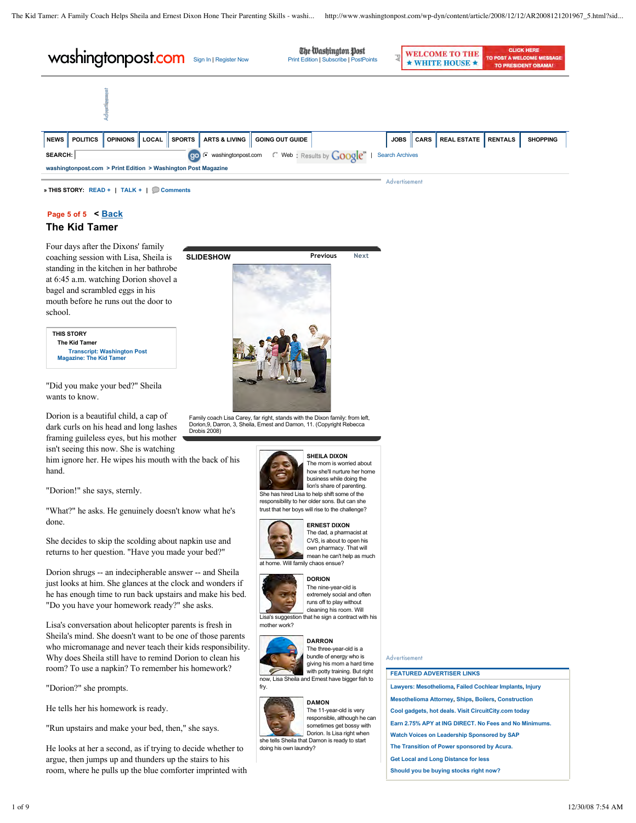| washingtonpost.com<br>Sign In   Register Now |                                                                                                                                                                          |                 |       |               |                          | The Washington Post<br><b>Print Edition   Subscribe   PostPoints</b> |  |             |             | <b>WELCOME TO THE</b><br>WHITE HOUSE <b>*</b> | <b>CLICK HERE</b><br>TO POST A WELCOME MESSAGE<br><b>TO PRESIDENT OBAMA!</b> |                 |  |
|----------------------------------------------|--------------------------------------------------------------------------------------------------------------------------------------------------------------------------|-----------------|-------|---------------|--------------------------|----------------------------------------------------------------------|--|-------------|-------------|-----------------------------------------------|------------------------------------------------------------------------------|-----------------|--|
|                                              |                                                                                                                                                                          |                 |       |               |                          |                                                                      |  |             |             |                                               |                                                                              |                 |  |
| NEWS                                         | <b>POLITICS</b>                                                                                                                                                          | <b>OPINIONS</b> | LOCAL | <b>SPORTS</b> | <b>ARTS &amp; LIVING</b> | <b>GOING OUT GUIDE</b>                                               |  | <b>JOBS</b> | <b>CARS</b> | <b>REAL ESTATE</b>                            | <b>RENTALS</b>                                                               | <b>SHOPPING</b> |  |
|                                              | $\degree$ Web: Results by $Google^m$<br>washingtonpost.com<br>SEARCH:<br><b>Search Archives</b><br>(go)<br>washingtonpost.com > Print Edition > Washington Post Magazine |                 |       |               |                          |                                                                      |  |             |             |                                               |                                                                              |                 |  |
| Advertisement                                |                                                                                                                                                                          |                 |       |               |                          |                                                                      |  |             |             |                                               |                                                                              |                 |  |

**» THIS STORY: READ + | TALK + | Comments**

### **Page 5 of 5 < Back**

### **The Kid Tamer**

Four days after the Dixons' family coaching session with Lisa, Sheila is standing in the kitchen in her bathrobe at 6:45 a.m. watching Dorion shovel a bagel and scrambled eggs in his mouth before he runs out the door to school.

| <b>THIS STORY</b>                                                    |  |
|----------------------------------------------------------------------|--|
| <b>The Kid Tamer</b>                                                 |  |
| <b>Transcript: Washington Post</b><br><b>Magazine: The Kid Tamer</b> |  |
|                                                                      |  |

"Did you make your bed?" Sheila wants to know.

Dorion is a beautiful child, a cap of dark curls on his head and long lashes framing guileless eyes, but his mother isn't seeing this now. She is watching

him ignore her. He wipes his mouth with the back of his hand.

"Dorion!" she says, sternly.

"What?" he asks. He genuinely doesn't know what he's done.

She decides to skip the scolding about napkin use and returns to her question. "Have you made your bed?"

Dorion shrugs -- an indecipherable answer -- and Sheila just looks at him. She glances at the clock and wonders if he has enough time to run back upstairs and make his bed. "Do you have your homework ready?" she asks.

Lisa's conversation about helicopter parents is fresh in Sheila's mind. She doesn't want to be one of those parents who micromanage and never teach their kids responsibility. Why does Sheila still have to remind Dorion to clean his room? To use a napkin? To remember his homework?

"Dorion?" she prompts.

He tells her his homework is ready.

"Run upstairs and make your bed, then," she says.

He looks at her a second, as if trying to decide whether to argue, then jumps up and thunders up the stairs to his room, where he pulls up the blue comforter imprinted with



Family coach Lisa Carey, far right, stands with the Dixon family: from left, Dorion,9, Darron, 3, Sheila, Ernest and Damon, 11. (Copyright Rebecca Drobis 2008)



#### **SHEILA DIXON** The mom is worried about how she'll nurture her home business while doing the lion's share of parenting.

She has hired Lisa to help shift some of the responsibility to her older sons. But can she trust that her boys will rise to the challenge?



#### The dad, a pharmacist at CVS, is about to open his

own pharmacy. That will mean he can't help as much

at home. Will family chaos ensue?



#### **DORION** The nine-year-old is extremely social and often runs off to play without

cleaning his room. Will Lisa's suggestion that he sign a contract with his mother work?



**DARRON** The three-year-old is a bundle of energy who is giving his mom a hard time with potty training. But right now, Lisa Sheila and Ernest have bigger fish to



fry.

**DAMON** The 11-year-old is very responsible, although he can sometimes get bossy with Dorion. Is Lisa right when she tells Sheila that Damon is ready to start doing his own laundry?

### Advertisement

### **FEATURED ADVERTISER LINKS**

**Lawyers: Mesothelioma, Failed Cochlear Implants, Injury Mesothelioma Attorney, Ships, Boilers, Construction Cool gadgets, hot deals. Visit CircuitCity.com today Earn 2.75% APY at ING DIRECT. No Fees and No Minimums. Watch Voices on Leadership Sponsored by SAP The Transition of Power sponsored by Acura.**

**Get Local and Long Distance for less**

**Should you be buying stocks right now?**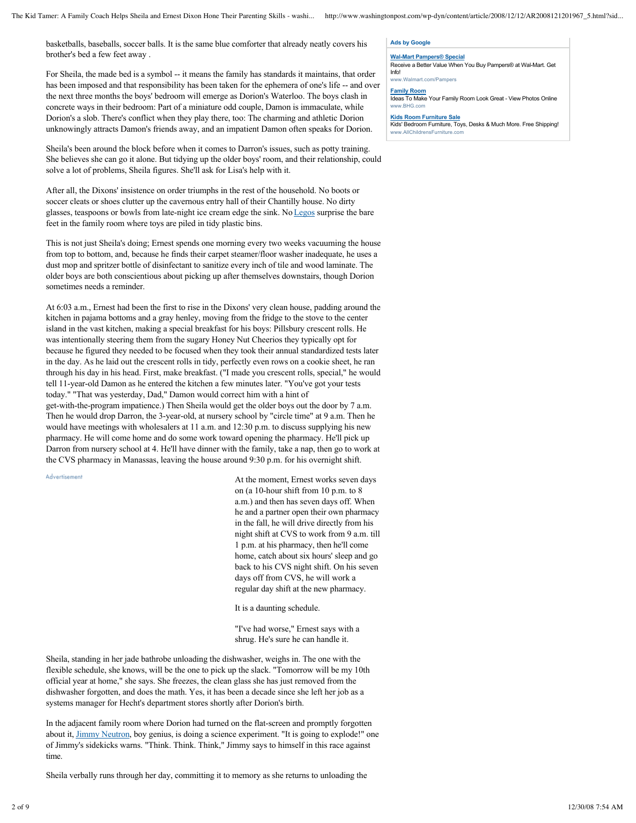basketballs, baseballs, soccer balls. It is the same blue comforter that already neatly covers his brother's bed a few feet away .

For Sheila, the made bed is a symbol -- it means the family has standards it maintains, that order has been imposed and that responsibility has been taken for the ephemera of one's life -- and over the next three months the boys' bedroom will emerge as Dorion's Waterloo. The boys clash in concrete ways in their bedroom: Part of a miniature odd couple, Damon is immaculate, while Dorion's a slob. There's conflict when they play there, too: The charming and athletic Dorion unknowingly attracts Damon's friends away, and an impatient Damon often speaks for Dorion.

Sheila's been around the block before when it comes to Darron's issues, such as potty training. She believes she can go it alone. But tidying up the older boys' room, and their relationship, could solve a lot of problems, Sheila figures. She'll ask for Lisa's help with it.

After all, the Dixons' insistence on order triumphs in the rest of the household. No boots or soccer cleats or shoes clutter up the cavernous entry hall of their Chantilly house. No dirty glasses, teaspoons or bowls from late-night ice cream edge the sink. No Legos surprise the bare feet in the family room where toys are piled in tidy plastic bins.

This is not just Sheila's doing; Ernest spends one morning every two weeks vacuuming the house from top to bottom, and, because he finds their carpet steamer/floor washer inadequate, he uses a dust mop and spritzer bottle of disinfectant to sanitize every inch of tile and wood laminate. The older boys are both conscientious about picking up after themselves downstairs, though Dorion sometimes needs a reminder.

At 6:03 a.m., Ernest had been the first to rise in the Dixons' very clean house, padding around the kitchen in pajama bottoms and a gray henley, moving from the fridge to the stove to the center island in the vast kitchen, making a special breakfast for his boys: Pillsbury crescent rolls. He was intentionally steering them from the sugary Honey Nut Cheerios they typically opt for because he figured they needed to be focused when they took their annual standardized tests later in the day. As he laid out the crescent rolls in tidy, perfectly even rows on a cookie sheet, he ran through his day in his head. First, make breakfast. ("I made you crescent rolls, special," he would tell 11-year-old Damon as he entered the kitchen a few minutes later. "You've got your tests today." "That was yesterday, Dad," Damon would correct him with a hint of get-with-the-program impatience.) Then Sheila would get the older boys out the door by 7 a.m. Then he would drop Darron, the 3-year-old, at nursery school by "circle time" at 9 a.m. Then he would have meetings with wholesalers at 11 a.m. and 12:30 p.m. to discuss supplying his new pharmacy. He will come home and do some work toward opening the pharmacy. He'll pick up Darron from nursery school at 4. He'll have dinner with the family, take a nap, then go to work at the CVS pharmacy in Manassas, leaving the house around 9:30 p.m. for his overnight shift.

Advertisement

At the moment, Ernest works seven days on (a 10-hour shift from 10 p.m. to 8 a.m.) and then has seven days off. When he and a partner open their own pharmacy in the fall, he will drive directly from his night shift at CVS to work from 9 a.m. till 1 p.m. at his pharmacy, then he'll come home, catch about six hours' sleep and go back to his CVS night shift. On his seven days off from CVS, he will work a regular day shift at the new pharmacy.

It is a daunting schedule.

"I've had worse," Ernest says with a shrug. He's sure he can handle it.

Sheila, standing in her jade bathrobe unloading the dishwasher, weighs in. The one with the flexible schedule, she knows, will be the one to pick up the slack. "Tomorrow will be my 10th official year at home," she says. She freezes, the clean glass she has just removed from the dishwasher forgotten, and does the math. Yes, it has been a decade since she left her job as a systems manager for Hecht's department stores shortly after Dorion's birth.

In the adjacent family room where Dorion had turned on the flat-screen and promptly forgotten about it, **Jimmy Neutron**, boy genius, is doing a science experiment. "It is going to explode!" one of Jimmy's sidekicks warns. "Think. Think. Think," Jimmy says to himself in this race against time.

Sheila verbally runs through her day, committing it to memory as she returns to unloading the

### **Ads by Google**

#### **Wal-Mart Pampers® Special** Receive a Better Value When You Buy Pampers® at Wal-Mart. Get Info!

www.Walmart.com/Pampers

**Family Room** Ideas To Make Your Family Room Look Great - View Photos Online www.BHG.com

#### **Kids Room Furniture Sale**

Kids' Bedroom Furniture, Toys, Desks & Much More. Free Shipping! ww.AllChildrensFurniture.com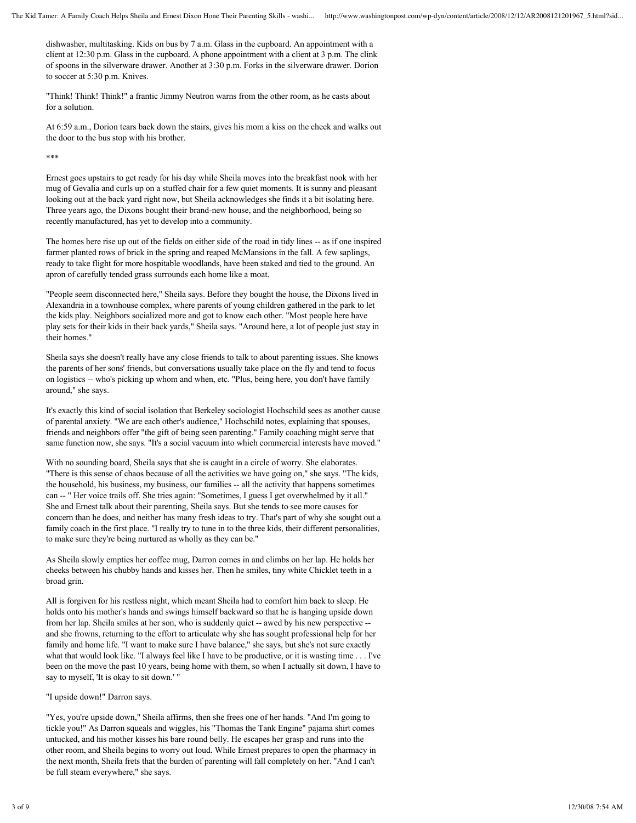dishwasher, multitasking. Kids on bus by 7 a.m. Glass in the cupboard. An appointment with a client at 12:30 p.m. Glass in the cupboard. A phone appointment with a client at 3 p.m. The clink of spoons in the silverware drawer. Another at 3:30 p.m. Forks in the silverware drawer. Dorion to soccer at 5:30 p.m. Knives.

"Think! Think! Think!" a frantic Jimmy Neutron warns from the other room, as he casts about for a solution.

At 6:59 a.m., Dorion tears back down the stairs, gives his mom a kiss on the cheek and walks out the door to the bus stop with his brother.

\*\*\*

Ernest goes upstairs to get ready for his day while Sheila moves into the breakfast nook with her mug of Gevalia and curls up on a stuffed chair for a few quiet moments. It is sunny and pleasant looking out at the back yard right now, but Sheila acknowledges she finds it a bit isolating here. Three years ago, the Dixons bought their brand-new house, and the neighborhood, being so recently manufactured, has yet to develop into a community.

The homes here rise up out of the fields on either side of the road in tidy lines -- as if one inspired farmer planted rows of brick in the spring and reaped McMansions in the fall. A few saplings, ready to take flight for more hospitable woodlands, have been staked and tied to the ground. An apron of carefully tended grass surrounds each home like a moat.

"People seem disconnected here," Sheila says. Before they bought the house, the Dixons lived in Alexandria in a townhouse complex, where parents of young children gathered in the park to let the kids play. Neighbors socialized more and got to know each other. "Most people here have play sets for their kids in their back yards," Sheila says. "Around here, a lot of people just stay in their homes."

Sheila says she doesn't really have any close friends to talk to about parenting issues. She knows the parents of her sons' friends, but conversations usually take place on the fly and tend to focus on logistics -- who's picking up whom and when, etc. "Plus, being here, you don't have family around," she says.

It's exactly this kind of social isolation that Berkeley sociologist Hochschild sees as another cause of parental anxiety. "We are each other's audience," Hochschild notes, explaining that spouses, friends and neighbors offer "the gift of being seen parenting." Family coaching might serve that same function now, she says. "It's a social vacuum into which commercial interests have moved."

With no sounding board, Sheila says that she is caught in a circle of worry. She elaborates. "There is this sense of chaos because of all the activities we have going on," she says. "The kids, the household, his business, my business, our families -- all the activity that happens sometimes can -- " Her voice trails off. She tries again: "Sometimes, I guess I get overwhelmed by it all." She and Ernest talk about their parenting, Sheila says. But she tends to see more causes for concern than he does, and neither has many fresh ideas to try. That's part of why she sought out a family coach in the first place. "I really try to tune in to the three kids, their different personalities, to make sure they're being nurtured as wholly as they can be."

As Sheila slowly empties her coffee mug, Darron comes in and climbs on her lap. He holds her cheeks between his chubby hands and kisses her. Then he smiles, tiny white Chicklet teeth in a broad grin.

All is forgiven for his restless night, which meant Sheila had to comfort him back to sleep. He holds onto his mother's hands and swings himself backward so that he is hanging upside down from her lap. Sheila smiles at her son, who is suddenly quiet -- awed by his new perspective - and she frowns, returning to the effort to articulate why she has sought professional help for her family and home life. "I want to make sure I have balance," she says, but she's not sure exactly what that would look like. "I always feel like I have to be productive, or it is wasting time . . . I've been on the move the past 10 years, being home with them, so when I actually sit down, I have to say to myself, 'It is okay to sit down.' "

"I upside down!" Darron says.

"Yes, you're upside down," Sheila affirms, then she frees one of her hands. "And I'm going to tickle you!" As Darron squeals and wiggles, his "Thomas the Tank Engine" pajama shirt comes untucked, and his mother kisses his bare round belly. He escapes her grasp and runs into the other room, and Sheila begins to worry out loud. While Ernest prepares to open the pharmacy in the next month, Sheila frets that the burden of parenting will fall completely on her. "And I can't be full steam everywhere," she says.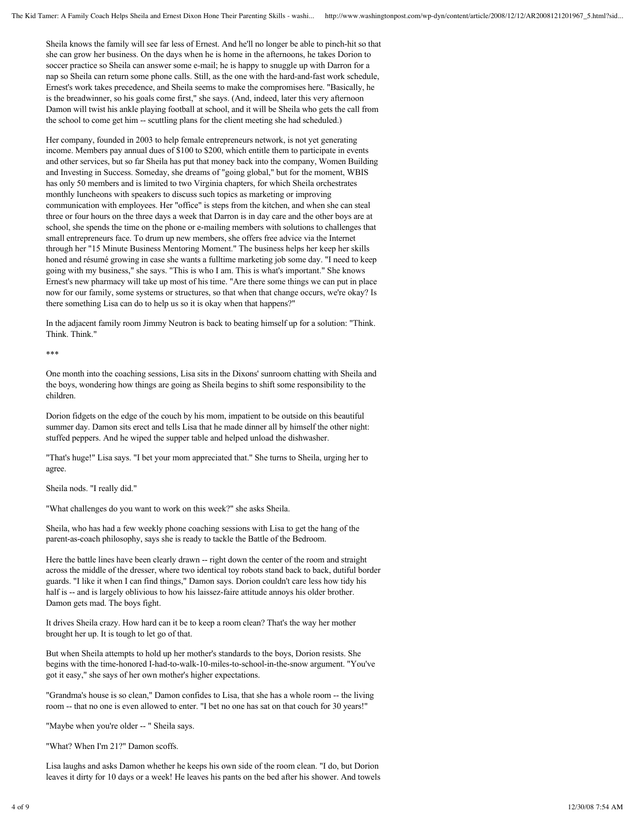Sheila knows the family will see far less of Ernest. And he'll no longer be able to pinch-hit so that she can grow her business. On the days when he is home in the afternoons, he takes Dorion to soccer practice so Sheila can answer some e-mail; he is happy to snuggle up with Darron for a nap so Sheila can return some phone calls. Still, as the one with the hard-and-fast work schedule, Ernest's work takes precedence, and Sheila seems to make the compromises here. "Basically, he is the breadwinner, so his goals come first," she says. (And, indeed, later this very afternoon Damon will twist his ankle playing football at school, and it will be Sheila who gets the call from the school to come get him -- scuttling plans for the client meeting she had scheduled.)

Her company, founded in 2003 to help female entrepreneurs network, is not yet generating income. Members pay annual dues of \$100 to \$200, which entitle them to participate in events and other services, but so far Sheila has put that money back into the company, Women Building and Investing in Success. Someday, she dreams of "going global," but for the moment, WBIS has only 50 members and is limited to two Virginia chapters, for which Sheila orchestrates monthly luncheons with speakers to discuss such topics as marketing or improving communication with employees. Her "office" is steps from the kitchen, and when she can steal three or four hours on the three days a week that Darron is in day care and the other boys are at school, she spends the time on the phone or e-mailing members with solutions to challenges that small entrepreneurs face. To drum up new members, she offers free advice via the Internet through her "15 Minute Business Mentoring Moment." The business helps her keep her skills honed and résumé growing in case she wants a fulltime marketing job some day. "I need to keep going with my business," she says. "This is who I am. This is what's important." She knows Ernest's new pharmacy will take up most of his time. "Are there some things we can put in place now for our family, some systems or structures, so that when that change occurs, we're okay? Is there something Lisa can do to help us so it is okay when that happens?"

In the adjacent family room Jimmy Neutron is back to beating himself up for a solution: "Think. Think. Think."

\*\*\*

One month into the coaching sessions, Lisa sits in the Dixons' sunroom chatting with Sheila and the boys, wondering how things are going as Sheila begins to shift some responsibility to the children.

Dorion fidgets on the edge of the couch by his mom, impatient to be outside on this beautiful summer day. Damon sits erect and tells Lisa that he made dinner all by himself the other night: stuffed peppers. And he wiped the supper table and helped unload the dishwasher.

"That's huge!" Lisa says. "I bet your mom appreciated that." She turns to Sheila, urging her to agree.

Sheila nods. "I really did."

"What challenges do you want to work on this week?" she asks Sheila.

Sheila, who has had a few weekly phone coaching sessions with Lisa to get the hang of the parent-as-coach philosophy, says she is ready to tackle the Battle of the Bedroom.

Here the battle lines have been clearly drawn -- right down the center of the room and straight across the middle of the dresser, where two identical toy robots stand back to back, dutiful border guards. "I like it when I can find things," Damon says. Dorion couldn't care less how tidy his half is -- and is largely oblivious to how his laissez-faire attitude annoys his older brother. Damon gets mad. The boys fight.

It drives Sheila crazy. How hard can it be to keep a room clean? That's the way her mother brought her up. It is tough to let go of that.

But when Sheila attempts to hold up her mother's standards to the boys, Dorion resists. She begins with the time-honored I-had-to-walk-10-miles-to-school-in-the-snow argument. "You've got it easy," she says of her own mother's higher expectations.

"Grandma's house is so clean," Damon confides to Lisa, that she has a whole room -- the living room -- that no one is even allowed to enter. "I bet no one has sat on that couch for 30 years!"

"Maybe when you're older -- " Sheila says.

"What? When I'm 21?" Damon scoffs.

Lisa laughs and asks Damon whether he keeps his own side of the room clean. "I do, but Dorion leaves it dirty for 10 days or a week! He leaves his pants on the bed after his shower. And towels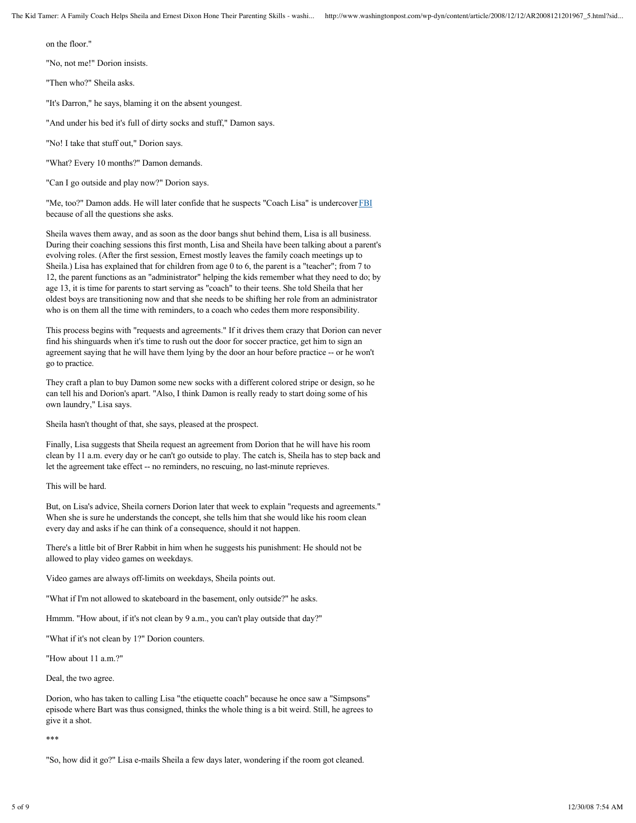on the floor."

"No, not me!" Dorion insists.

"Then who?" Sheila asks.

"It's Darron," he says, blaming it on the absent youngest.

"And under his bed it's full of dirty socks and stuff," Damon says.

"No! I take that stuff out," Dorion says.

"What? Every 10 months?" Damon demands.

"Can I go outside and play now?" Dorion says.

"Me, too?" Damon adds. He will later confide that he suspects "Coach Lisa" is undercover FBI because of all the questions she asks.

Sheila waves them away, and as soon as the door bangs shut behind them, Lisa is all business. During their coaching sessions this first month, Lisa and Sheila have been talking about a parent's evolving roles. (After the first session, Ernest mostly leaves the family coach meetings up to Sheila.) Lisa has explained that for children from age 0 to 6, the parent is a "teacher"; from 7 to 12, the parent functions as an "administrator" helping the kids remember what they need to do; by age 13, it is time for parents to start serving as "coach" to their teens. She told Sheila that her oldest boys are transitioning now and that she needs to be shifting her role from an administrator who is on them all the time with reminders, to a coach who cedes them more responsibility.

This process begins with "requests and agreements." If it drives them crazy that Dorion can never find his shinguards when it's time to rush out the door for soccer practice, get him to sign an agreement saying that he will have them lying by the door an hour before practice -- or he won't go to practice.

They craft a plan to buy Damon some new socks with a different colored stripe or design, so he can tell his and Dorion's apart. "Also, I think Damon is really ready to start doing some of his own laundry," Lisa says.

Sheila hasn't thought of that, she says, pleased at the prospect.

Finally, Lisa suggests that Sheila request an agreement from Dorion that he will have his room clean by 11 a.m. every day or he can't go outside to play. The catch is, Sheila has to step back and let the agreement take effect -- no reminders, no rescuing, no last-minute reprieves.

This will be hard.

But, on Lisa's advice, Sheila corners Dorion later that week to explain "requests and agreements." When she is sure he understands the concept, she tells him that she would like his room clean every day and asks if he can think of a consequence, should it not happen.

There's a little bit of Brer Rabbit in him when he suggests his punishment: He should not be allowed to play video games on weekdays.

Video games are always off-limits on weekdays, Sheila points out.

"What if I'm not allowed to skateboard in the basement, only outside?" he asks.

Hmmm. "How about, if it's not clean by 9 a.m., you can't play outside that day?"

"What if it's not clean by 1?" Dorion counters.

"How about 11 a.m.?"

Deal, the two agree.

Dorion, who has taken to calling Lisa "the etiquette coach" because he once saw a "Simpsons" episode where Bart was thus consigned, thinks the whole thing is a bit weird. Still, he agrees to give it a shot.

\*\*\*

"So, how did it go?" Lisa e-mails Sheila a few days later, wondering if the room got cleaned.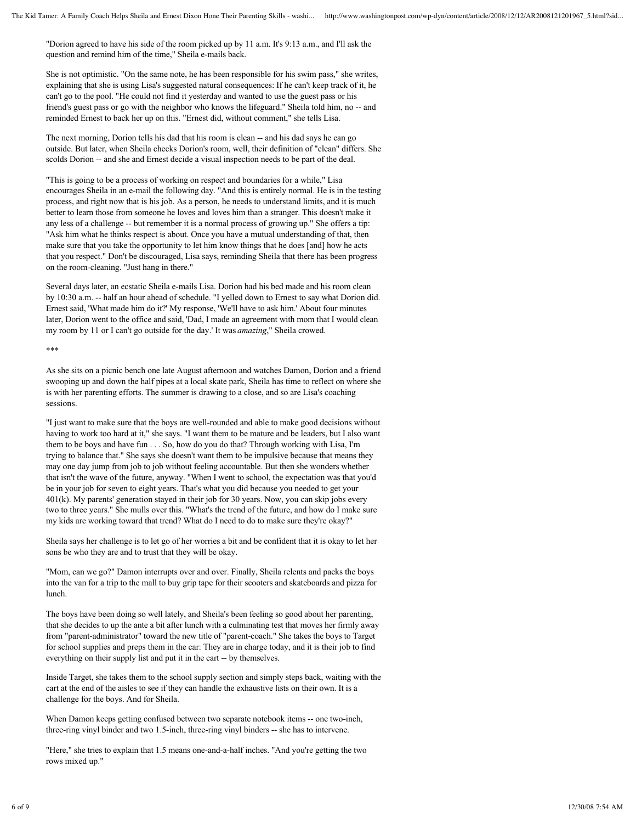"Dorion agreed to have his side of the room picked up by 11 a.m. It's 9:13 a.m., and I'll ask the question and remind him of the time," Sheila e-mails back.

She is not optimistic. "On the same note, he has been responsible for his swim pass," she writes, explaining that she is using Lisa's suggested natural consequences: If he can't keep track of it, he can't go to the pool. "He could not find it yesterday and wanted to use the guest pass or his friend's guest pass or go with the neighbor who knows the lifeguard." Sheila told him, no -- and reminded Ernest to back her up on this. "Ernest did, without comment," she tells Lisa.

The next morning, Dorion tells his dad that his room is clean -- and his dad says he can go outside. But later, when Sheila checks Dorion's room, well, their definition of "clean" differs. She scolds Dorion -- and she and Ernest decide a visual inspection needs to be part of the deal.

"This is going to be a process of working on respect and boundaries for a while," Lisa encourages Sheila in an e-mail the following day. "And this is entirely normal. He is in the testing process, and right now that is his job. As a person, he needs to understand limits, and it is much better to learn those from someone he loves and loves him than a stranger. This doesn't make it any less of a challenge -- but remember it is a normal process of growing up." She offers a tip: "Ask him what he thinks respect is about. Once you have a mutual understanding of that, then make sure that you take the opportunity to let him know things that he does [and] how he acts that you respect." Don't be discouraged, Lisa says, reminding Sheila that there has been progress on the room-cleaning. "Just hang in there."

Several days later, an ecstatic Sheila e-mails Lisa. Dorion had his bed made and his room clean by 10:30 a.m. -- half an hour ahead of schedule. "I yelled down to Ernest to say what Dorion did. Ernest said, 'What made him do it?' My response, 'We'll have to ask him.' About four minutes later, Dorion went to the office and said, 'Dad, I made an agreement with mom that I would clean my room by 11 or I can't go outside for the day.' It was *amazing*," Sheila crowed.

\*\*\*

As she sits on a picnic bench one late August afternoon and watches Damon, Dorion and a friend swooping up and down the half pipes at a local skate park, Sheila has time to reflect on where she is with her parenting efforts. The summer is drawing to a close, and so are Lisa's coaching sessions.

"I just want to make sure that the boys are well-rounded and able to make good decisions without having to work too hard at it," she says. "I want them to be mature and be leaders, but I also want them to be boys and have fun . . . So, how do you do that? Through working with Lisa, I'm trying to balance that." She says she doesn't want them to be impulsive because that means they may one day jump from job to job without feeling accountable. But then she wonders whether that isn't the wave of the future, anyway. "When I went to school, the expectation was that you'd be in your job for seven to eight years. That's what you did because you needed to get your 401(k). My parents' generation stayed in their job for 30 years. Now, you can skip jobs every two to three years." She mulls over this. "What's the trend of the future, and how do I make sure my kids are working toward that trend? What do I need to do to make sure they're okay?"

Sheila says her challenge is to let go of her worries a bit and be confident that it is okay to let her sons be who they are and to trust that they will be okay.

"Mom, can we go?" Damon interrupts over and over. Finally, Sheila relents and packs the boys into the van for a trip to the mall to buy grip tape for their scooters and skateboards and pizza for lunch.

The boys have been doing so well lately, and Sheila's been feeling so good about her parenting, that she decides to up the ante a bit after lunch with a culminating test that moves her firmly away from "parent-administrator" toward the new title of "parent-coach." She takes the boys to Target for school supplies and preps them in the car: They are in charge today, and it is their job to find everything on their supply list and put it in the cart -- by themselves.

Inside Target, she takes them to the school supply section and simply steps back, waiting with the cart at the end of the aisles to see if they can handle the exhaustive lists on their own. It is a challenge for the boys. And for Sheila.

When Damon keeps getting confused between two separate notebook items -- one two-inch, three-ring vinyl binder and two 1.5-inch, three-ring vinyl binders -- she has to intervene.

"Here," she tries to explain that 1.5 means one-and-a-half inches. "And you're getting the two rows mixed up."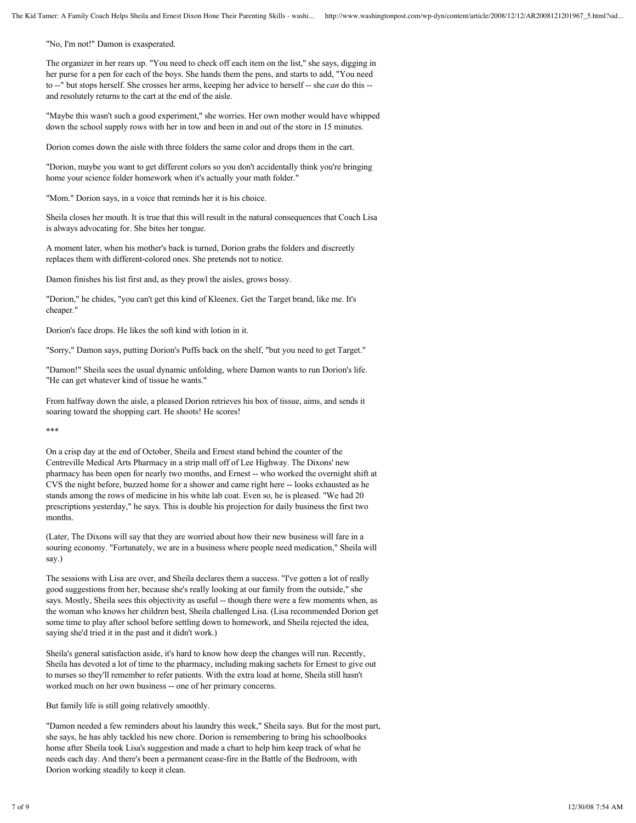"No, I'm not!" Damon is exasperated.

The organizer in her rears up. "You need to check off each item on the list," she says, digging in her purse for a pen for each of the boys. She hands them the pens, and starts to add, "You need to --" but stops herself. She crosses her arms, keeping her advice to herself -- she *can* do this - and resolutely returns to the cart at the end of the aisle.

"Maybe this wasn't such a good experiment," she worries. Her own mother would have whipped down the school supply rows with her in tow and been in and out of the store in 15 minutes.

Dorion comes down the aisle with three folders the same color and drops them in the cart.

"Dorion, maybe you want to get different colors so you don't accidentally think you're bringing home your science folder homework when it's actually your math folder."

"Mom." Dorion says, in a voice that reminds her it is his choice.

Sheila closes her mouth. It is true that this will result in the natural consequences that Coach Lisa is always advocating for. She bites her tongue.

A moment later, when his mother's back is turned, Dorion grabs the folders and discreetly replaces them with different-colored ones. She pretends not to notice.

Damon finishes his list first and, as they prowl the aisles, grows bossy.

"Dorion," he chides, "you can't get this kind of Kleenex. Get the Target brand, like me. It's cheaper."

Dorion's face drops. He likes the soft kind with lotion in it.

"Sorry," Damon says, putting Dorion's Puffs back on the shelf, "but you need to get Target."

"Damon!" Sheila sees the usual dynamic unfolding, where Damon wants to run Dorion's life. "He can get whatever kind of tissue he wants."

From halfway down the aisle, a pleased Dorion retrieves his box of tissue, aims, and sends it soaring toward the shopping cart. He shoots! He scores!

\*\*\*

On a crisp day at the end of October, Sheila and Ernest stand behind the counter of the Centreville Medical Arts Pharmacy in a strip mall off of Lee Highway. The Dixons' new pharmacy has been open for nearly two months, and Ernest -- who worked the overnight shift at CVS the night before, buzzed home for a shower and came right here -- looks exhausted as he stands among the rows of medicine in his white lab coat. Even so, he is pleased. "We had 20 prescriptions yesterday," he says. This is double his projection for daily business the first two months.

(Later, The Dixons will say that they are worried about how their new business will fare in a souring economy. "Fortunately, we are in a business where people need medication," Sheila will say.)

The sessions with Lisa are over, and Sheila declares them a success. "I've gotten a lot of really good suggestions from her, because she's really looking at our family from the outside," she says. Mostly, Sheila sees this objectivity as useful -- though there were a few moments when, as the woman who knows her children best, Sheila challenged Lisa. (Lisa recommended Dorion get some time to play after school before settling down to homework, and Sheila rejected the idea, saying she'd tried it in the past and it didn't work.)

Sheila's general satisfaction aside, it's hard to know how deep the changes will run. Recently, Sheila has devoted a lot of time to the pharmacy, including making sachets for Ernest to give out to nurses so they'll remember to refer patients. With the extra load at home, Sheila still hasn't worked much on her own business -- one of her primary concerns.

But family life is still going relatively smoothly.

"Damon needed a few reminders about his laundry this week," Sheila says. But for the most part, she says, he has ably tackled his new chore. Dorion is remembering to bring his schoolbooks home after Sheila took Lisa's suggestion and made a chart to help him keep track of what he needs each day. And there's been a permanent cease-fire in the Battle of the Bedroom, with Dorion working steadily to keep it clean.